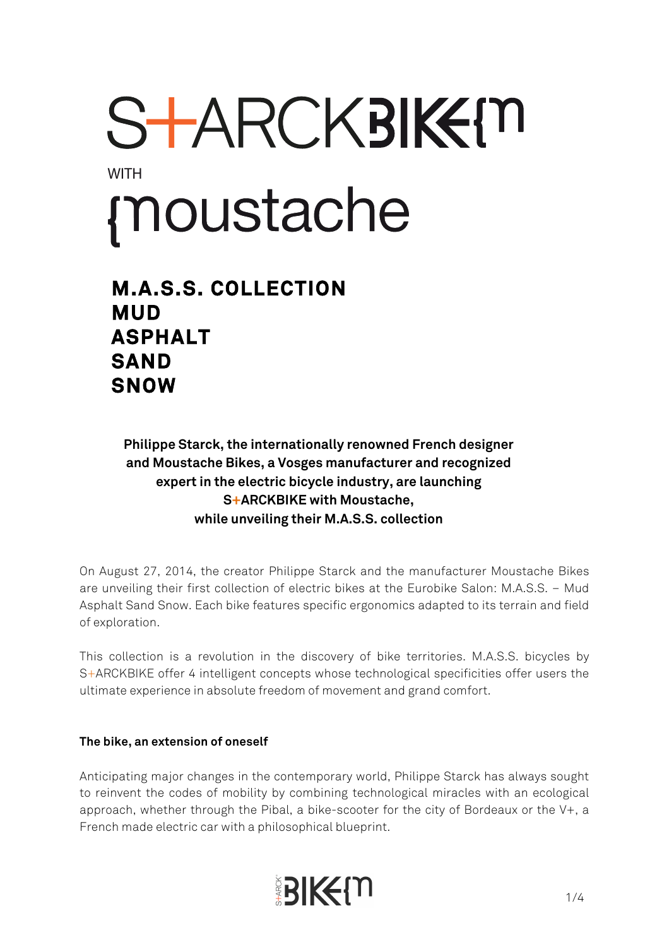# STARCKBIKEM **WITH** moustache

# **M.A.S.S. COLLECTION MUD ASPHALT SAND SNOW**

**Philippe Starck, the internationally renowned French designer and Moustache Bikes, a Vosges manufacturer and recognized expert in the electric bicycle industry, are launching S+ARCKBIKE with Moustache, while unveiling their M.A.S.S. collection** 

On August 27, 2014, the creator Philippe Starck and the manufacturer Moustache Bikes are unveiling their first collection of electric bikes at the Eurobike Salon: M.A.S.S. – Mud Asphalt Sand Snow. Each bike features specific ergonomics adapted to its terrain and field of exploration.

This collection is a revolution in the discovery of bike territories. M.A.S.S. bicycles by S+ARCKBIKE offer 4 intelligent concepts whose technological specificities offer users the ultimate experience in absolute freedom of movement and grand comfort.

#### **The bike, an extension of oneself**

Anticipating major changes in the contemporary world, Philippe Starck has always sought to reinvent the codes of mobility by combining technological miracles with an ecological approach, whether through the Pibal, a bike-scooter for the city of Bordeaux or the V+, a French made electric car with a philosophical blueprint.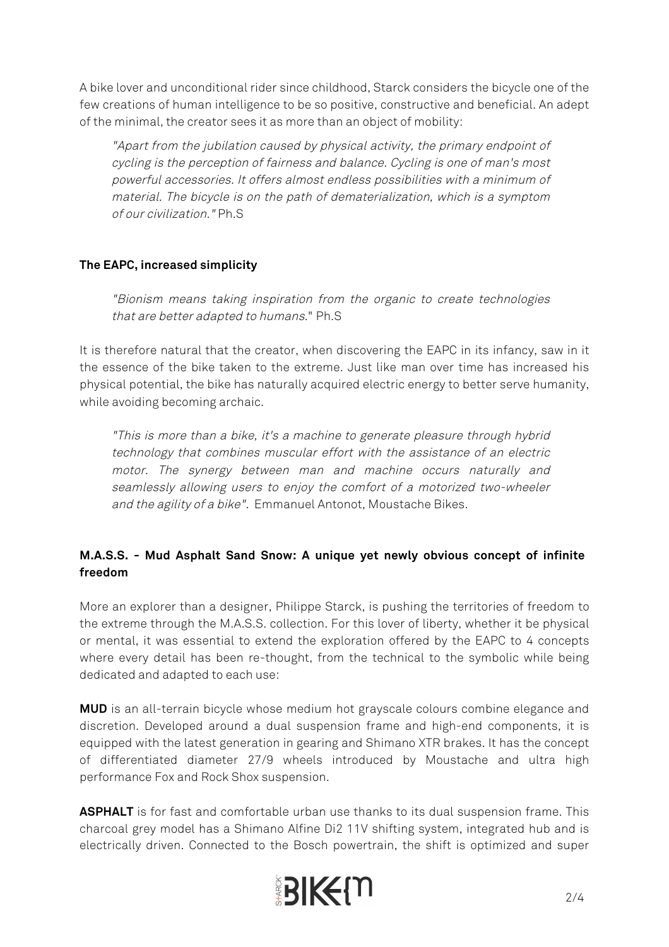A bike lover and unconditional rider since childhood, Starck considers the bicycle one of the few creations of human intelligence to be so positive, constructive and beneficial. An adept of the minimal, the creator sees it as more than an object of mobility:

"Apart from the jubilation caused by physical activity, the primary endpoint of cycling is the perception of fairness and balance. Cycling is one of man's most powerful accessories. It offers almost endless possibilities with a minimum of material. The bicycle is on the path of dematerialization, which is a symptom of our civilization." Ph.S

## **The EAPC, increased simplicity**

"Bionism means taking inspiration from the organic to create technologies that are better adapted to humans." Ph.S

It is therefore natural that the creator, when discovering the EAPC in its infancy, saw in it the essence of the bike taken to the extreme. Just like man over time has increased his physical potential, the bike has naturally acquired electric energy to better serve humanity, while avoiding becoming archaic.

"This is more than a bike, it's a machine to generate pleasure through hybrid technology that combines muscular effort with the assistance of an electric motor. The synergy between man and machine occurs naturally and seamlessly allowing users to enjoy the comfort of a motorized two-wheeler and the agility of a bike". Emmanuel Antonot, Moustache Bikes.

# **M.A.S.S. - Mud Asphalt Sand Snow: A unique yet newly obvious concept of infinite freedom**

More an explorer than a designer, Philippe Starck, is pushing the territories of freedom to the extreme through the M.A.S.S. collection. For this lover of liberty, whether it be physical or mental, it was essential to extend the exploration offered by the EAPC to 4 concepts where every detail has been re-thought, from the technical to the symbolic while being dedicated and adapted to each use:

**MUD** is an all-terrain bicycle whose medium hot grayscale colours combine elegance and discretion. Developed around a dual suspension frame and high-end components, it is equipped with the latest generation in gearing and Shimano XTR brakes. It has the concept of differentiated diameter 27/9 wheels introduced by Moustache and ultra high performance Fox and Rock Shox suspension.

**ASPHALT** is for fast and comfortable urban use thanks to its dual suspension frame. This charcoal grey model has a Shimano Alfine Di2 11V shifting system, integrated hub and is electrically driven. Connected to the Bosch powertrain, the shift is optimized and super

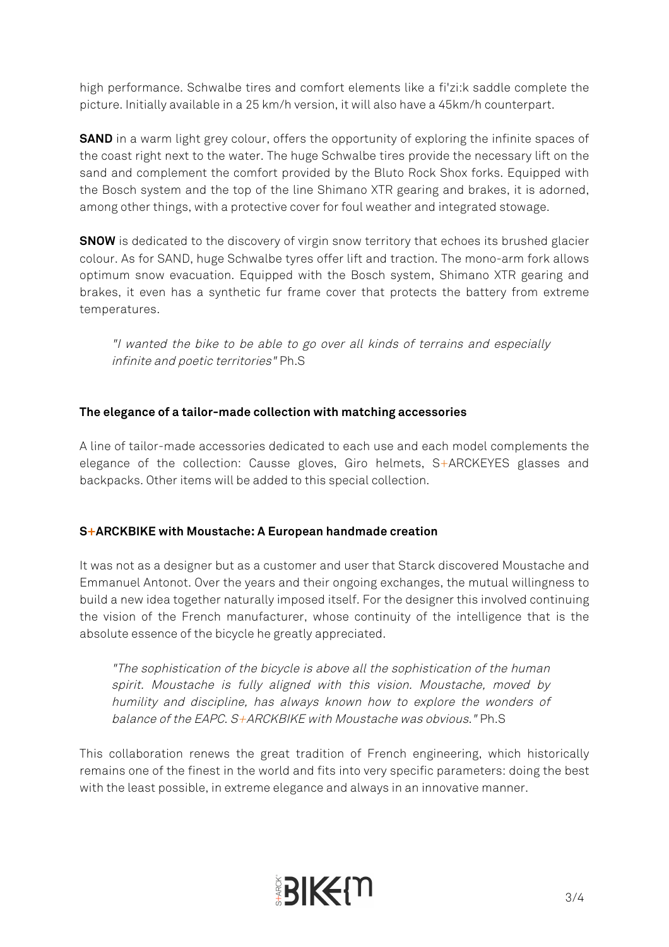high performance. Schwalbe tires and comfort elements like a fi'zi:k saddle complete the picture. Initially available in a 25 km/h version, it will also have a 45km/h counterpart.

**SAND** in a warm light grey colour, offers the opportunity of exploring the infinite spaces of the coast right next to the water. The huge Schwalbe tires provide the necessary lift on the sand and complement the comfort provided by the Bluto Rock Shox forks. Equipped with the Bosch system and the top of the line Shimano XTR gearing and brakes, it is adorned, among other things, with a protective cover for foul weather and integrated stowage.

**SNOW** is dedicated to the discovery of virgin snow territory that echoes its brushed glacier colour. As for SAND, huge Schwalbe tyres offer lift and traction. The mono-arm fork allows optimum snow evacuation. Equipped with the Bosch system, Shimano XTR gearing and brakes, it even has a synthetic fur frame cover that protects the battery from extreme temperatures.

"I wanted the bike to be able to go over all kinds of terrains and especially infinite and poetic territories" Ph.S

### **The elegance of a tailor-made collection with matching accessories**

A line of tailor-made accessories dedicated to each use and each model complements the elegance of the collection: Causse gloves, Giro helmets, S+ARCKEYES glasses and backpacks. Other items will be added to this special collection.

#### **S+ARCKBIKE with Moustache: A European handmade creation**

It was not as a designer but as a customer and user that Starck discovered Moustache and Emmanuel Antonot. Over the years and their ongoing exchanges, the mutual willingness to build a new idea together naturally imposed itself. For the designer this involved continuing the vision of the French manufacturer, whose continuity of the intelligence that is the absolute essence of the bicycle he greatly appreciated.

"The sophistication of the bicycle is above all the sophistication of the human spirit. Moustache is fully aligned with this vision. Moustache, moved by humility and discipline, has always known how to explore the wonders of balance of the EAPC. S+ARCKBIKE with Moustache was obvious." Ph.S

This collaboration renews the great tradition of French engineering, which historically remains one of the finest in the world and fits into very specific parameters: doing the best with the least possible, in extreme elegance and always in an innovative manner.